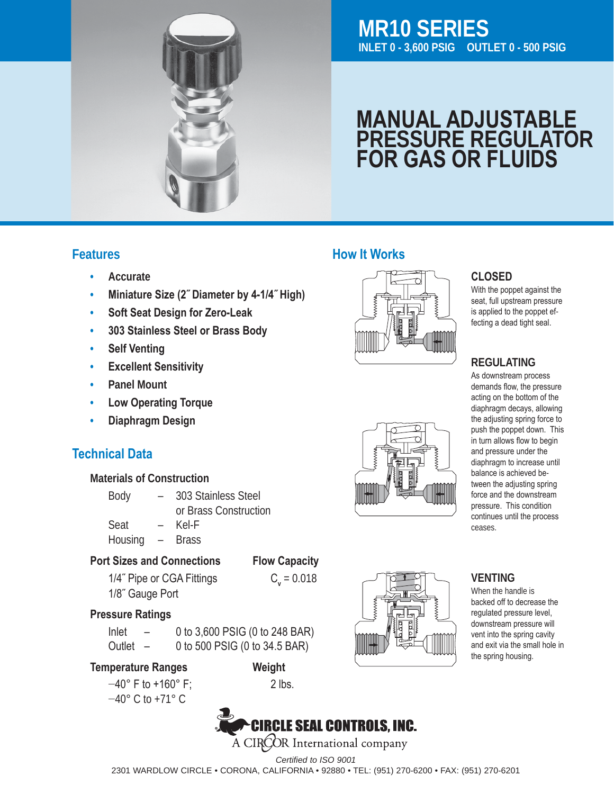

# **MR10 SERIES INLET 0 - 3,600 PSIG OUTLET 0 - 500 PSIG**

# **MANUAL ADJUSTABLE PRESSURE REGULATOR FOR GAS OR FLUIDS**

#### **Features**

- **• Accurate**
- **• Miniature Size (2˝ Diameter by 4-1/4˝ High)**
- **• Soft Seat Design for Zero-Leak**
- **• 303 Stainless Steel or Brass Body**
- **• Self Venting**
- **• Excellent Sensitivity**
- **• Panel Mount**
- **• Low Operating Torque**
- **• Diaphragm Design**

## **Technical Data**

#### **Materials of Construction**

- Body 303 Stainless Steel or Brass Construction
- Seat Kel-F
- Housing Brass

#### **Port Sizes and Connections Flow Capacity**

- 
- 1/4<sup> $\degree$ </sup> Pipe or CGA Fittings  $C_v = 0.018$  1/8˝ Gauge Port

#### **Pressure Ratings**

Inlet  $-$  0 to 3,600 PSIG (0 to 248 BAR) Outlet  $-$  0 to 500 PSIG (0 to 34.5 BAR)

 **Temperature Ranges Weight**

 $-40^{\circ}$  F to +160° F; 2 lbs. −40° C to +71° C 



#### **CLOSED**

With the poppet against the seat, full upstream pressure is applied to the poppet effecting a dead tight seal.

#### **REGULATING**

As downstream process demands flow, the pressure acting on the bottom of the diaphragm decays, allowing the adjusting spring force to push the poppet down. This in turn allows flow to begin and pressure under the diaphragm to increase until balance is achieved between the adjusting spring force and the downstream pressure. This condition continues until the process ceases.

#### **VENTING**

 $\check{f}$   $\uparrow$   $\uparrow$   $\uparrow$   $\uparrow$   $\uparrow$   $\uparrow$   $\uparrow$   $\uparrow$   $\uparrow$   $\uparrow$   $\uparrow$   $\uparrow$   $\uparrow$   $\uparrow$   $\uparrow$   $\uparrow$   $\uparrow$   $\uparrow$   $\uparrow$   $\uparrow$   $\uparrow$   $\uparrow$   $\uparrow$   $\uparrow$   $\uparrow$   $\uparrow$   $\uparrow$   $\uparrow$   $\uparrow$   $\uparrow$   $\uparrow$   $\uparrow$   $\uparrow$   $\uparrow$   $\uparrow$   $\up$ When the handle is backed off to decrease the regulated pressure level, downstream pressure will and exit via the small hole in the spring housing.



**How It Works**



*Certified to ISO 9001* 2301 WARDLOW CIRCLE • CORONA, CALIFORNIA • 92880 • TEL: (951) 270-6200 • FAX: (951) 270-6201

A CIROOR International company

**CIRCLE SEAL CONTROLS, INC.**